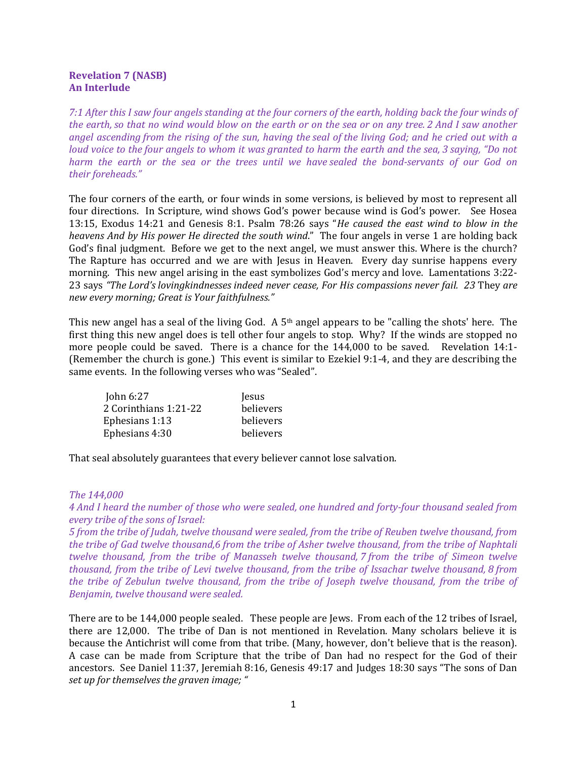## Revelation 7 (NASB) An Interlude

7:1 After this I saw four angels standing at the four corners of the earth, holding back the four winds of the earth, so that no wind would blow on the earth or on the sea or on any tree. 2 And I saw another angel ascending from the rising of the sun, having the seal of the living God; and he cried out with a loud voice to the four angels to whom it was granted to harm the earth and the sea, 3 saying, "Do not harm the earth or the sea or the trees until we have sealed the bond-servants of our God on their foreheads."

The four corners of the earth, or four winds in some versions, is believed by most to represent all four directions. In Scripture, wind shows God's power because wind is God's power. See Hosea 13:15, Exodus 14:21 and Genesis 8:1. Psalm 78:26 says "He caused the east wind to blow in the heavens And by His power He directed the south wind." The four angels in verse 1 are holding back God's final judgment. Before we get to the next angel, we must answer this. Where is the church? The Rapture has occurred and we are with Jesus in Heaven. Every day sunrise happens every morning. This new angel arising in the east symbolizes God's mercy and love. Lamentations 3:22- 23 says "The Lord's lovingkindnesses indeed never cease, For His compassions never fail. 23 They are new every morning; Great is Your faithfulness."

This new angel has a seal of the living God. A  $5<sup>th</sup>$  angel appears to be "calling the shots' here. The first thing this new angel does is tell other four angels to stop. Why? If the winds are stopped no more people could be saved. There is a chance for the 144,000 to be saved. Revelation 14:1- (Remember the church is gone.) This event is similar to Ezekiel 9:1-4, and they are describing the same events. In the following verses who was "Sealed".

| John 6:27             | Jesus     |
|-----------------------|-----------|
| 2 Corinthians 1:21-22 | believers |
| Ephesians 1:13        | believers |
| Ephesians 4:30        | believers |

That seal absolutely guarantees that every believer cannot lose salvation.

## The 144,000

4 And I heard the number of those who were sealed, one hundred and forty-four thousand sealed from every tribe of the sons of Israel:

5 from the tribe of Judah, twelve thousand were sealed, from the tribe of Reuben twelve thousand, from the tribe of Gad twelve thousand,6 from the tribe of Asher twelve thousand, from the tribe of Naphtali twelve thousand, from the tribe of Manasseh twelve thousand, 7 from the tribe of Simeon twelve thousand, from the tribe of Levi twelve thousand, from the tribe of Issachar twelve thousand, 8 from the tribe of Zebulun twelve thousand, from the tribe of Joseph twelve thousand, from the tribe of Benjamin, twelve thousand were sealed.

There are to be 144,000 people sealed. These people are Jews. From each of the 12 tribes of Israel, there are 12,000. The tribe of Dan is not mentioned in Revelation. Many scholars believe it is because the Antichrist will come from that tribe. (Many, however, don't believe that is the reason). A case can be made from Scripture that the tribe of Dan had no respect for the God of their ancestors. See Daniel 11:37, Jeremiah 8:16, Genesis 49:17 and Judges 18:30 says "The sons of Dan set up for themselves the graven image; "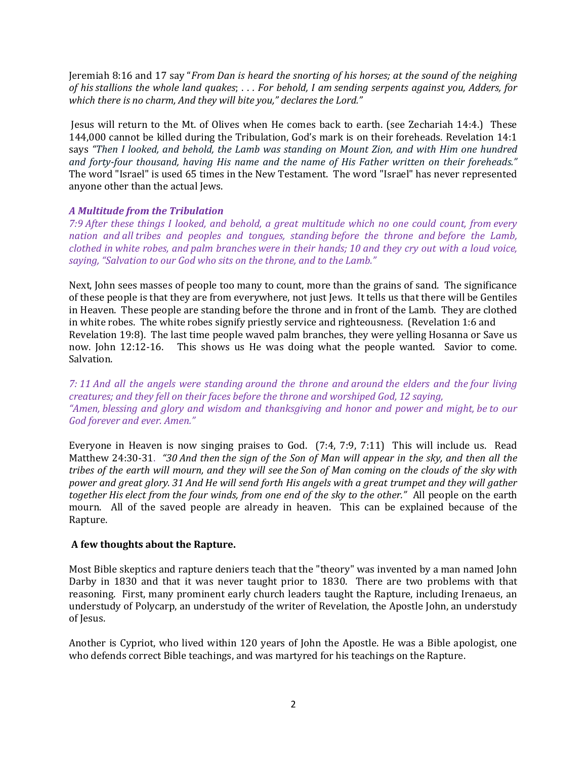Jeremiah 8:16 and 17 say "From Dan is heard the snorting of his horses; at the sound of the neighing of his stallions the whole land quakes; . . . For behold, I am sending serpents against you, Adders, for which there is no charm, And they will bite you," declares the Lord."

 Jesus will return to the Mt. of Olives when He comes back to earth. (see Zechariah 14:4.) These 144,000 cannot be killed during the Tribulation, God's mark is on their foreheads. Revelation 14:1 says "Then I looked, and behold, the Lamb was standing on Mount Zion, and with Him one hundred and forty-four thousand, having His name and the name of His Father written on their foreheads." The word "Israel" is used 65 times in the New Testament. The word "Israel" has never represented anyone other than the actual Jews.

## A Multitude from the Tribulation

7:9 After these things I looked, and behold, a great multitude which no one could count, from every nation and all tribes and peoples and tongues, standing before the throne and before the Lamb, clothed in white robes, and palm branches were in their hands; 10 and they cry out with a loud voice, saying, "Salvation to our God who sits on the throne, and to the Lamb."

Next, John sees masses of people too many to count, more than the grains of sand. The significance of these people is that they are from everywhere, not just Jews. It tells us that there will be Gentiles in Heaven. These people are standing before the throne and in front of the Lamb. They are clothed in white robes. The white robes signify priestly service and righteousness. (Revelation 1:6 and Revelation 19:8). The last time people waved palm branches, they were yelling Hosanna or Save us now. John 12:12-16. This shows us He was doing what the people wanted. Savior to come. Salvation.

7: 11 And all the angels were standing around the throne and around the elders and the four living creatures; and they fell on their faces before the throne and worshiped God, 12 saying, "Amen, blessing and glory and wisdom and thanksgiving and honor and power and might, be to our God forever and ever. Amen."

Everyone in Heaven is now singing praises to God. (7:4, 7:9, 7:11) This will include us. Read Matthew 24:30-31. "30 And then the sign of the Son of Man will appear in the sky, and then all the tribes of the earth will mourn, and they will see the Son of Man coming on the clouds of the sky with power and great glory. 31 And He will send forth His angels with a great trumpet and they will gather together His elect from the four winds, from one end of the sky to the other." All people on the earth mourn. All of the saved people are already in heaven. This can be explained because of the Rapture.

## A few thoughts about the Rapture.

Most Bible skeptics and rapture deniers teach that the "theory" was invented by a man named John Darby in 1830 and that it was never taught prior to 1830. There are two problems with that reasoning. First, many prominent early church leaders taught the Rapture, including Irenaeus, an understudy of Polycarp, an understudy of the writer of Revelation, the Apostle John, an understudy of Jesus.

Another is Cypriot, who lived within 120 years of John the Apostle. He was a Bible apologist, one who defends correct Bible teachings, and was martyred for his teachings on the Rapture.